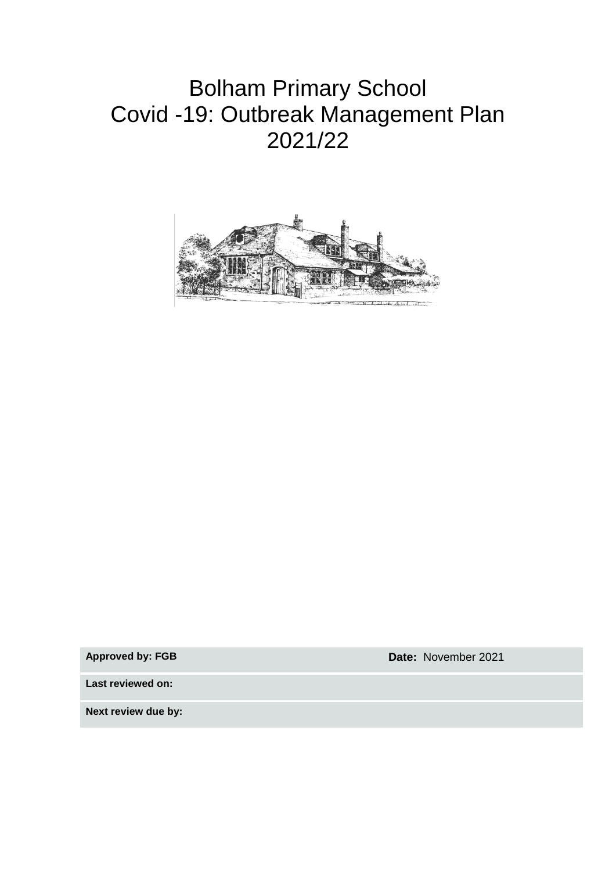## Bolham Primary School Covid -19: Outbreak Management Plan 2021/22



**Approved by: FGB Date:** November 2021

**Last reviewed on:**

**Next review due by:**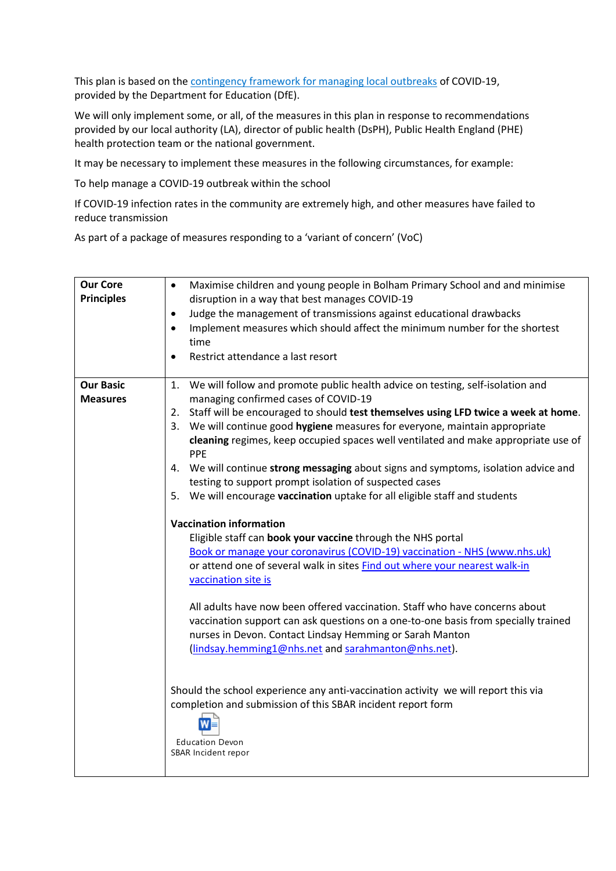This plan is based on the [contingency framework for managing local outbreaks](https://www.gov.uk/government/publications/coronavirus-covid-19-local-restrictions-in-education-and-childcare-settings) of COVID-19, provided by the Department for Education (DfE).

We will only implement some, or all, of the measures in this plan in response to recommendations provided by our local authority (LA), director of public health (DsPH), Public Health England (PHE) health protection team or the national government.

It may be necessary to implement these measures in the following circumstances, for example:

To help manage a COVID-19 outbreak within the school

If COVID-19 infection rates in the community are extremely high, and other measures have failed to reduce transmission

As part of a package of measures responding to a 'variant of concern' (VoC)

| <b>Our Core</b><br><b>Principles</b> | Maximise children and young people in Bolham Primary School and and minimise<br>$\bullet$<br>disruption in a way that best manages COVID-19<br>Judge the management of transmissions against educational drawbacks<br>$\bullet$<br>Implement measures which should affect the minimum number for the shortest<br>$\bullet$<br>time<br>Restrict attendance a last resort<br>$\bullet$                                                                                                                                                                                                                                                  |
|--------------------------------------|---------------------------------------------------------------------------------------------------------------------------------------------------------------------------------------------------------------------------------------------------------------------------------------------------------------------------------------------------------------------------------------------------------------------------------------------------------------------------------------------------------------------------------------------------------------------------------------------------------------------------------------|
| <b>Our Basic</b><br><b>Measures</b>  | We will follow and promote public health advice on testing, self-isolation and<br>1.<br>managing confirmed cases of COVID-19<br>2. Staff will be encouraged to should test themselves using LFD twice a week at home.<br>3. We will continue good hygiene measures for everyone, maintain appropriate<br>cleaning regimes, keep occupied spaces well ventilated and make appropriate use of<br>PPE<br>4. We will continue strong messaging about signs and symptoms, isolation advice and<br>testing to support prompt isolation of suspected cases<br>We will encourage vaccination uptake for all eligible staff and students<br>5. |
|                                      | <b>Vaccination information</b><br>Eligible staff can book your vaccine through the NHS portal<br>Book or manage your coronavirus (COVID-19) vaccination - NHS (www.nhs.uk)<br>or attend one of several walk in sites Find out where your nearest walk-in<br>vaccination site is<br>All adults have now been offered vaccination. Staff who have concerns about<br>vaccination support can ask questions on a one-to-one basis from specially trained<br>nurses in Devon. Contact Lindsay Hemming or Sarah Manton<br>(lindsay.hemming1@nhs.net and sarahmanton@nhs.net).                                                               |
|                                      | Should the school experience any anti-vaccination activity we will report this via<br>completion and submission of this SBAR incident report form<br><b>Education Devon</b><br>SBAR Incident repor                                                                                                                                                                                                                                                                                                                                                                                                                                    |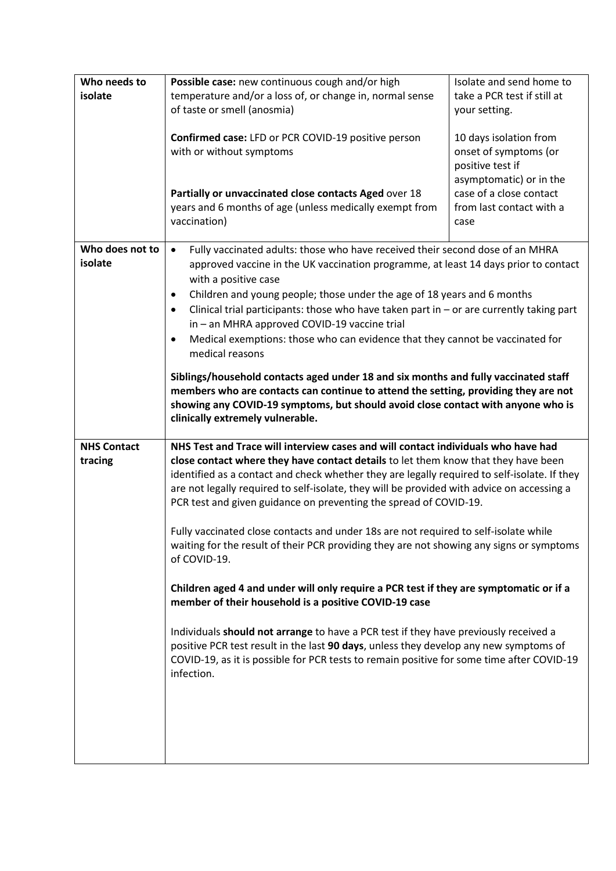| Who needs to       | Possible case: new continuous cough and/or high                                                                                                                                  | Isolate and send home to    |
|--------------------|----------------------------------------------------------------------------------------------------------------------------------------------------------------------------------|-----------------------------|
| isolate            | temperature and/or a loss of, or change in, normal sense                                                                                                                         | take a PCR test if still at |
|                    | of taste or smell (anosmia)                                                                                                                                                      | your setting.               |
|                    |                                                                                                                                                                                  |                             |
|                    | Confirmed case: LFD or PCR COVID-19 positive person                                                                                                                              | 10 days isolation from      |
|                    | with or without symptoms                                                                                                                                                         | onset of symptoms (or       |
|                    |                                                                                                                                                                                  | positive test if            |
|                    |                                                                                                                                                                                  | asymptomatic) or in the     |
|                    | Partially or unvaccinated close contacts Aged over 18                                                                                                                            | case of a close contact     |
|                    | years and 6 months of age (unless medically exempt from                                                                                                                          | from last contact with a    |
|                    | vaccination)                                                                                                                                                                     | case                        |
| Who does not to    |                                                                                                                                                                                  |                             |
| isolate            | Fully vaccinated adults: those who have received their second dose of an MHRA<br>$\bullet$                                                                                       |                             |
|                    | approved vaccine in the UK vaccination programme, at least 14 days prior to contact<br>with a positive case                                                                      |                             |
|                    | Children and young people; those under the age of 18 years and 6 months<br>$\bullet$                                                                                             |                             |
|                    | Clinical trial participants: those who have taken part in $-$ or are currently taking part<br>$\bullet$                                                                          |                             |
|                    | in - an MHRA approved COVID-19 vaccine trial                                                                                                                                     |                             |
|                    | Medical exemptions: those who can evidence that they cannot be vaccinated for<br>$\bullet$                                                                                       |                             |
|                    | medical reasons                                                                                                                                                                  |                             |
|                    |                                                                                                                                                                                  |                             |
|                    | Siblings/household contacts aged under 18 and six months and fully vaccinated staff<br>members who are contacts can continue to attend the setting, providing they are not       |                             |
|                    | showing any COVID-19 symptoms, but should avoid close contact with anyone who is                                                                                                 |                             |
|                    | clinically extremely vulnerable.                                                                                                                                                 |                             |
|                    |                                                                                                                                                                                  |                             |
|                    |                                                                                                                                                                                  |                             |
| <b>NHS Contact</b> | NHS Test and Trace will interview cases and will contact individuals who have had                                                                                                |                             |
| tracing            | close contact where they have contact details to let them know that they have been                                                                                               |                             |
|                    | identified as a contact and check whether they are legally required to self-isolate. If they                                                                                     |                             |
|                    | are not legally required to self-isolate, they will be provided with advice on accessing a                                                                                       |                             |
|                    | PCR test and given guidance on preventing the spread of COVID-19.                                                                                                                |                             |
|                    |                                                                                                                                                                                  |                             |
|                    | Fully vaccinated close contacts and under 18s are not required to self-isolate while<br>waiting for the result of their PCR providing they are not showing any signs or symptoms |                             |
|                    | of COVID-19.                                                                                                                                                                     |                             |
|                    |                                                                                                                                                                                  |                             |
|                    | Children aged 4 and under will only require a PCR test if they are symptomatic or if a                                                                                           |                             |
|                    | member of their household is a positive COVID-19 case                                                                                                                            |                             |
|                    |                                                                                                                                                                                  |                             |
|                    | Individuals should not arrange to have a PCR test if they have previously received a<br>positive PCR test result in the last 90 days, unless they develop any new symptoms of    |                             |
|                    | COVID-19, as it is possible for PCR tests to remain positive for some time after COVID-19                                                                                        |                             |
|                    | infection.                                                                                                                                                                       |                             |
|                    |                                                                                                                                                                                  |                             |
|                    |                                                                                                                                                                                  |                             |
|                    |                                                                                                                                                                                  |                             |
|                    |                                                                                                                                                                                  |                             |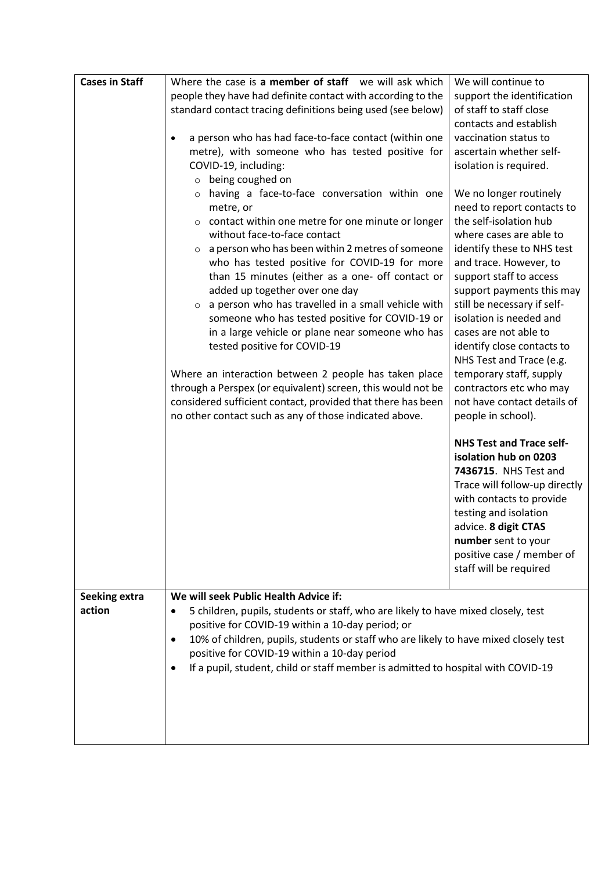| <b>Cases in Staff</b> | Where the case is a member of staff we will ask which<br>people they have had definite contact with according to the<br>standard contact tracing definitions being used (see below)                                                                                                                                                                                                                                                                                                                                                                                                                                                                                                                                                                                                                                                          | We will continue to<br>support the identification<br>of staff to staff close                                                                                                                                                                                                                                                                                                                                                                                                      |
|-----------------------|----------------------------------------------------------------------------------------------------------------------------------------------------------------------------------------------------------------------------------------------------------------------------------------------------------------------------------------------------------------------------------------------------------------------------------------------------------------------------------------------------------------------------------------------------------------------------------------------------------------------------------------------------------------------------------------------------------------------------------------------------------------------------------------------------------------------------------------------|-----------------------------------------------------------------------------------------------------------------------------------------------------------------------------------------------------------------------------------------------------------------------------------------------------------------------------------------------------------------------------------------------------------------------------------------------------------------------------------|
|                       | a person who has had face-to-face contact (within one<br>$\bullet$<br>metre), with someone who has tested positive for<br>COVID-19, including:<br>being coughed on                                                                                                                                                                                                                                                                                                                                                                                                                                                                                                                                                                                                                                                                           | contacts and establish<br>vaccination status to<br>ascertain whether self-<br>isolation is required.                                                                                                                                                                                                                                                                                                                                                                              |
|                       | $\circ$<br>having a face-to-face conversation within one<br>$\circ$<br>metre, or<br>contact within one metre for one minute or longer<br>$\circ$<br>without face-to-face contact<br>$\circ$ a person who has been within 2 metres of someone<br>who has tested positive for COVID-19 for more<br>than 15 minutes (either as a one- off contact or<br>added up together over one day<br>a person who has travelled in a small vehicle with<br>$\circ$<br>someone who has tested positive for COVID-19 or<br>in a large vehicle or plane near someone who has<br>tested positive for COVID-19<br>Where an interaction between 2 people has taken place<br>through a Perspex (or equivalent) screen, this would not be<br>considered sufficient contact, provided that there has been<br>no other contact such as any of those indicated above. | We no longer routinely<br>need to report contacts to<br>the self-isolation hub<br>where cases are able to<br>identify these to NHS test<br>and trace. However, to<br>support staff to access<br>support payments this may<br>still be necessary if self-<br>isolation is needed and<br>cases are not able to<br>identify close contacts to<br>NHS Test and Trace (e.g.<br>temporary staff, supply<br>contractors etc who may<br>not have contact details of<br>people in school). |
|                       |                                                                                                                                                                                                                                                                                                                                                                                                                                                                                                                                                                                                                                                                                                                                                                                                                                              | <b>NHS Test and Trace self-</b><br>isolation hub on 0203<br>7436715. NHS Test and<br>Trace will follow-up directly<br>with contacts to provide<br>testing and isolation<br>advice. 8 digit CTAS<br>number sent to your<br>positive case / member of<br>staff will be required                                                                                                                                                                                                     |
| <b>Seeking extra</b>  | We will seek Public Health Advice if:                                                                                                                                                                                                                                                                                                                                                                                                                                                                                                                                                                                                                                                                                                                                                                                                        |                                                                                                                                                                                                                                                                                                                                                                                                                                                                                   |
| action                | 5 children, pupils, students or staff, who are likely to have mixed closely, test<br>$\bullet$<br>positive for COVID-19 within a 10-day period; or                                                                                                                                                                                                                                                                                                                                                                                                                                                                                                                                                                                                                                                                                           |                                                                                                                                                                                                                                                                                                                                                                                                                                                                                   |
|                       | 10% of children, pupils, students or staff who are likely to have mixed closely test<br>$\bullet$<br>positive for COVID-19 within a 10-day period                                                                                                                                                                                                                                                                                                                                                                                                                                                                                                                                                                                                                                                                                            |                                                                                                                                                                                                                                                                                                                                                                                                                                                                                   |
|                       | If a pupil, student, child or staff member is admitted to hospital with COVID-19<br>$\bullet$                                                                                                                                                                                                                                                                                                                                                                                                                                                                                                                                                                                                                                                                                                                                                |                                                                                                                                                                                                                                                                                                                                                                                                                                                                                   |
|                       |                                                                                                                                                                                                                                                                                                                                                                                                                                                                                                                                                                                                                                                                                                                                                                                                                                              |                                                                                                                                                                                                                                                                                                                                                                                                                                                                                   |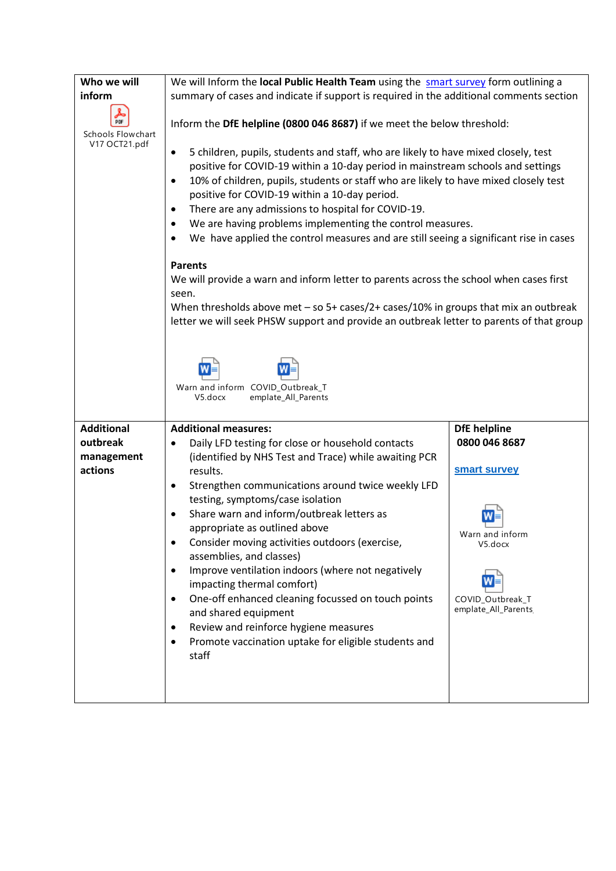| Who we will                                            | We will Inform the local Public Health Team using the smart survey form outlining a                                                                                                                                                                                                                                                                                                                                                                                                                                                                                                                                                                                                                                                                                                                                                                                                                                                                                                        |                                                                                                                               |
|--------------------------------------------------------|--------------------------------------------------------------------------------------------------------------------------------------------------------------------------------------------------------------------------------------------------------------------------------------------------------------------------------------------------------------------------------------------------------------------------------------------------------------------------------------------------------------------------------------------------------------------------------------------------------------------------------------------------------------------------------------------------------------------------------------------------------------------------------------------------------------------------------------------------------------------------------------------------------------------------------------------------------------------------------------------|-------------------------------------------------------------------------------------------------------------------------------|
| inform                                                 | summary of cases and indicate if support is required in the additional comments section                                                                                                                                                                                                                                                                                                                                                                                                                                                                                                                                                                                                                                                                                                                                                                                                                                                                                                    |                                                                                                                               |
| PDF<br>Schools Flowchart<br>V17 OCT21.pdf              | Inform the DfE helpline (0800 046 8687) if we meet the below threshold:<br>5 children, pupils, students and staff, who are likely to have mixed closely, test<br>٠<br>positive for COVID-19 within a 10-day period in mainstream schools and settings<br>10% of children, pupils, students or staff who are likely to have mixed closely test<br>$\bullet$<br>positive for COVID-19 within a 10-day period.<br>There are any admissions to hospital for COVID-19.<br>٠<br>We are having problems implementing the control measures.<br>٠<br>We have applied the control measures and are still seeing a significant rise in cases<br>$\bullet$<br><b>Parents</b><br>We will provide a warn and inform letter to parents across the school when cases first<br>seen.<br>When thresholds above met - so 5+ cases/2+ cases/10% in groups that mix an outbreak<br>letter we will seek PHSW support and provide an outbreak letter to parents of that group<br>Warn and inform COVID_Outbreak_T |                                                                                                                               |
|                                                        | V5.docx<br>emplate_All_Parents                                                                                                                                                                                                                                                                                                                                                                                                                                                                                                                                                                                                                                                                                                                                                                                                                                                                                                                                                             |                                                                                                                               |
| <b>Additional</b><br>outbreak<br>management<br>actions | <b>Additional measures:</b><br>Daily LFD testing for close or household contacts<br>٠<br>(identified by NHS Test and Trace) while awaiting PCR<br>results.<br>Strengthen communications around twice weekly LFD<br>٠<br>testing, symptoms/case isolation<br>Share warn and inform/outbreak letters as<br>appropriate as outlined above<br>Consider moving activities outdoors (exercise,<br>assemblies, and classes)<br>Improve ventilation indoors (where not negatively<br>٠<br>impacting thermal comfort)<br>One-off enhanced cleaning focussed on touch points<br>٠<br>and shared equipment<br>Review and reinforce hygiene measures<br>٠<br>Promote vaccination uptake for eligible students and<br>staff                                                                                                                                                                                                                                                                             | <b>DfE</b> helpline<br>0800 046 8687<br>smart survey<br>Warn and inform<br>V5.docx<br>COVID_Outbreak_T<br>emplate_All_Parents |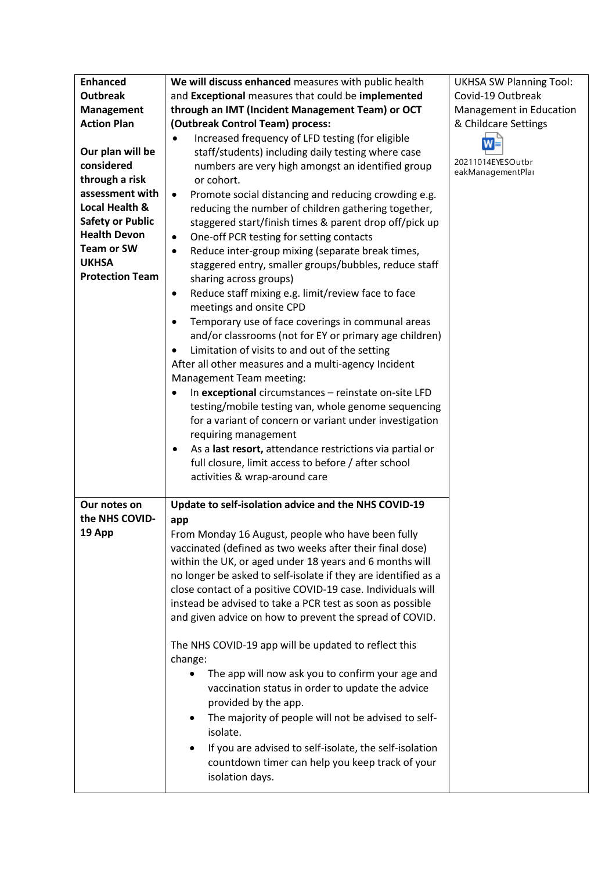| <b>Enhanced</b>         | We will discuss enhanced measures with public health                                       | <b>UKHSA SW Planning Tool:</b>        |
|-------------------------|--------------------------------------------------------------------------------------------|---------------------------------------|
| <b>Outbreak</b>         | and Exceptional measures that could be implemented                                         | Covid-19 Outbreak                     |
| <b>Management</b>       | through an IMT (Incident Management Team) or OCT                                           | Management in Education               |
| <b>Action Plan</b>      | (Outbreak Control Team) process:                                                           | & Childcare Settings                  |
|                         | Increased frequency of LFD testing (for eligible<br>$\bullet$                              | W                                     |
| Our plan will be        | staff/students) including daily testing where case                                         |                                       |
| considered              | numbers are very high amongst an identified group                                          | 20211014EYESOutbr<br>eakManagementPla |
| through a risk          | or cohort.                                                                                 |                                       |
| assessment with         | Promote social distancing and reducing crowding e.g.<br>$\bullet$                          |                                       |
| Local Health &          | reducing the number of children gathering together,                                        |                                       |
| <b>Safety or Public</b> | staggered start/finish times & parent drop off/pick up                                     |                                       |
| <b>Health Devon</b>     | One-off PCR testing for setting contacts<br>$\bullet$                                      |                                       |
| <b>Team or SW</b>       | Reduce inter-group mixing (separate break times,<br>$\bullet$                              |                                       |
| <b>UKHSA</b>            | staggered entry, smaller groups/bubbles, reduce staff                                      |                                       |
| <b>Protection Team</b>  | sharing across groups)                                                                     |                                       |
|                         | Reduce staff mixing e.g. limit/review face to face<br>$\bullet$<br>meetings and onsite CPD |                                       |
|                         | Temporary use of face coverings in communal areas<br>$\bullet$                             |                                       |
|                         | and/or classrooms (not for EY or primary age children)                                     |                                       |
|                         | Limitation of visits to and out of the setting<br>$\bullet$                                |                                       |
|                         | After all other measures and a multi-agency Incident                                       |                                       |
|                         | Management Team meeting:                                                                   |                                       |
|                         | In exceptional circumstances - reinstate on-site LFD<br>$\bullet$                          |                                       |
|                         | testing/mobile testing van, whole genome sequencing                                        |                                       |
|                         | for a variant of concern or variant under investigation                                    |                                       |
|                         | requiring management                                                                       |                                       |
|                         | As a last resort, attendance restrictions via partial or                                   |                                       |
|                         | full closure, limit access to before / after school                                        |                                       |
|                         | activities & wrap-around care                                                              |                                       |
| Our notes on            | Update to self-isolation advice and the NHS COVID-19                                       |                                       |
| the NHS COVID-          | app                                                                                        |                                       |
| 19 App                  | From Monday 16 August, people who have been fully                                          |                                       |
|                         | vaccinated (defined as two weeks after their final dose)                                   |                                       |
|                         | within the UK, or aged under 18 years and 6 months will                                    |                                       |
|                         | no longer be asked to self-isolate if they are identified as a                             |                                       |
|                         | close contact of a positive COVID-19 case. Individuals will                                |                                       |
|                         | instead be advised to take a PCR test as soon as possible                                  |                                       |
|                         | and given advice on how to prevent the spread of COVID.                                    |                                       |
|                         | The NHS COVID-19 app will be updated to reflect this                                       |                                       |
|                         | change:                                                                                    |                                       |
|                         | The app will now ask you to confirm your age and                                           |                                       |
|                         | vaccination status in order to update the advice                                           |                                       |
|                         | provided by the app.                                                                       |                                       |
|                         | The majority of people will not be advised to self-<br>٠                                   |                                       |
|                         | isolate.                                                                                   |                                       |
|                         | If you are advised to self-isolate, the self-isolation                                     |                                       |
|                         | countdown timer can help you keep track of your                                            |                                       |
|                         |                                                                                            |                                       |
|                         | isolation days.                                                                            |                                       |